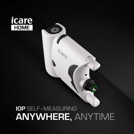## <u>icare</u> **HOME**

# IOP SELF–MEASURING ANYWHERE, ANYTIME

 $\frac{1}{\sqrt{6}}$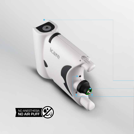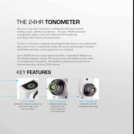#### THE 24HR TONOMETER

*The easy-to-use Icare® tonometers revolutionize IOP measurements making it quick, effortless and effective. The Icare® HOME tonometer is designed for patients who need additional IOP monitoring according to their doctor's recommendation.* 

*The device is based on a rebound measuring principle that eye care professionals have come to trust. A small probe touches the cornea and the impact duration, deceleration and other motion parameters are evaluated.* 

*Icare® HOME does not require topical anesthetic or specialized skills for use. The HOME tonometer records IOP measurements and additional data which is not displayed to the patient. The healthcare professional downloads the measurement data via Icare LINK software.* 

#### KEY FEATURES



Icare® AMS Automatic measuring sequence: series and single mode with one button



Icare® EasyPos Intelligent positioning assistant for the correct alignment of the tonometer



Icare® EyeSmart Automatic OD/OS recognition technology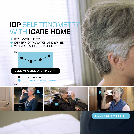### IOP SELF-TONOMETRY WITH **ICARE HOME**

**+ REAL WORLD DATA** 

- **+ IDENTIFY IOP VARIATION AND SPIKES**
- VALUABLE ADJUNCT TO CLINIC

# mmHg

CLINIC MEASUREMENTS (12 months)

IOP monitoring in the clinic 24 hour IOP self-measuring with Icare HOME





#### Icare HOME (24 HOURS)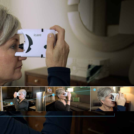